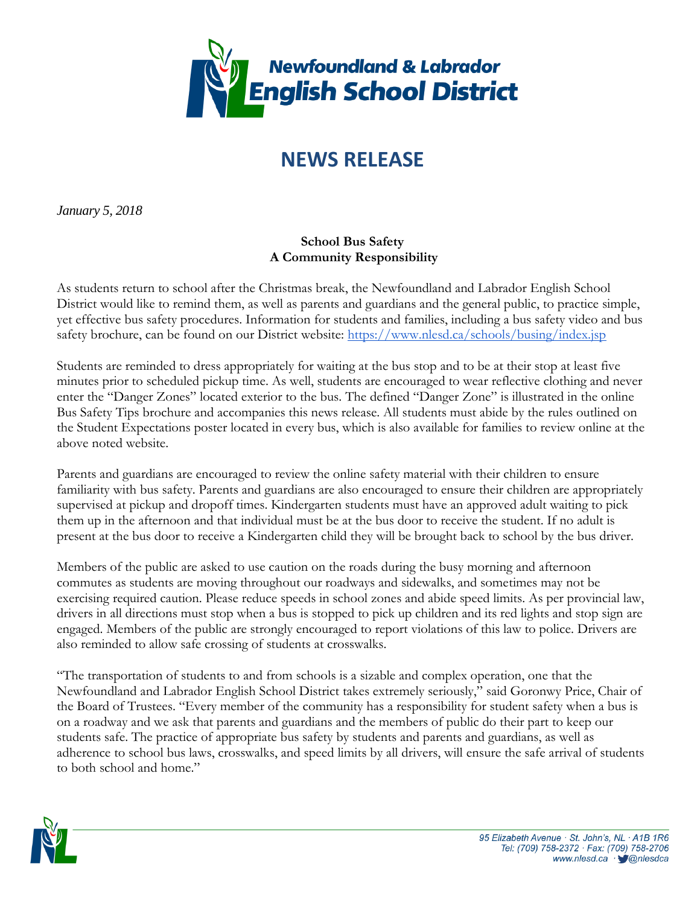

# **NEWS RELEASE**

*January 5, 2018*

#### **School Bus Safety A Community Responsibility**

As students return to school after the Christmas break, the Newfoundland and Labrador English School District would like to remind them, as well as parents and guardians and the general public, to practice simple, yet effective bus safety procedures. Information for students and families, including a bus safety video and bus safety brochure, can be found on our District website:<https://www.nlesd.ca/schools/busing/index.jsp>

Students are reminded to dress appropriately for waiting at the bus stop and to be at their stop at least five minutes prior to scheduled pickup time. As well, students are encouraged to wear reflective clothing and never enter the "Danger Zones" located exterior to the bus. The defined "Danger Zone" is illustrated in the online Bus Safety Tips brochure and accompanies this news release. All students must abide by the rules outlined on the Student Expectations poster located in every bus, which is also available for families to review online at the above noted website.

Parents and guardians are encouraged to review the online safety material with their children to ensure familiarity with bus safety. Parents and guardians are also encouraged to ensure their children are appropriately supervised at pickup and dropoff times. Kindergarten students must have an approved adult waiting to pick them up in the afternoon and that individual must be at the bus door to receive the student. If no adult is present at the bus door to receive a Kindergarten child they will be brought back to school by the bus driver.

Members of the public are asked to use caution on the roads during the busy morning and afternoon commutes as students are moving throughout our roadways and sidewalks, and sometimes may not be exercising required caution. Please reduce speeds in school zones and abide speed limits. As per provincial law, drivers in all directions must stop when a bus is stopped to pick up children and its red lights and stop sign are engaged. Members of the public are strongly encouraged to report violations of this law to police. Drivers are also reminded to allow safe crossing of students at crosswalks.

"The transportation of students to and from schools is a sizable and complex operation, one that the Newfoundland and Labrador English School District takes extremely seriously," said Goronwy Price, Chair of the Board of Trustees. "Every member of the community has a responsibility for student safety when a bus is on a roadway and we ask that parents and guardians and the members of public do their part to keep our students safe. The practice of appropriate bus safety by students and parents and guardians, as well as adherence to school bus laws, crosswalks, and speed limits by all drivers, will ensure the safe arrival of students to both school and home."